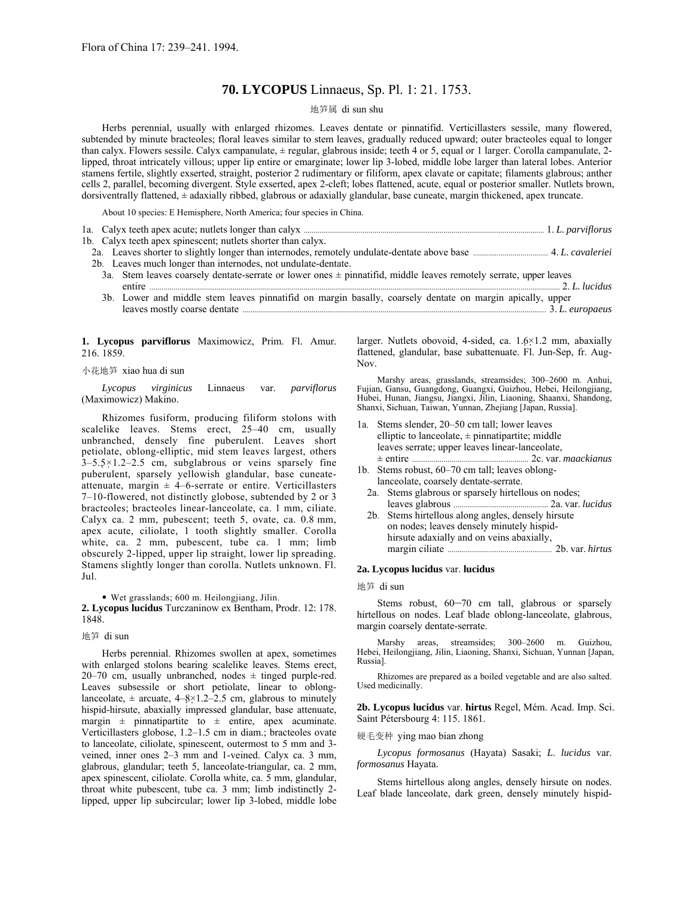# **70. LYCOPUS** Linnaeus, Sp. Pl. 1: 21. 1753.

## 地笋属 di sun shu

Herbs perennial, usually with enlarged rhizomes. Leaves dentate or pinnatifid. Verticillasters sessile, many flowered, subtended by minute bracteoles; floral leaves similar to stem leaves, gradually reduced upward; outer bracteoles equal to longer than calyx. Flowers sessile. Calyx campanulate, ± regular, glabrous inside; teeth 4 or 5, equal or 1 larger. Corolla campanulate, 2 lipped, throat intricately villous; upper lip entire or emarginate; lower lip 3-lobed, middle lobe larger than lateral lobes. Anterior stamens fertile, slightly exserted, straight, posterior 2 rudimentary or filiform, apex clavate or capitate; filaments glabrous; anther cells 2, parallel, becoming divergent. Style exserted, apex 2-cleft; lobes flattened, acute, equal or posterior smaller. Nutlets brown, dorsiventrally flattened, ± adaxially ribbed, glabrous or adaxially glandular, base cuneate, margin thickened, apex truncate.

About 10 species: E Hemisphere, North America; four species in China.

|                                                               |  | 1b. Calyx teeth apex spinescent; nutlets shorter than calyx.                                                                                                                                                                   |  |
|---------------------------------------------------------------|--|--------------------------------------------------------------------------------------------------------------------------------------------------------------------------------------------------------------------------------|--|
|                                                               |  | 2a. Leaves shorter to slightly longer than internodes, remotely undulate-dentate above base manufactured. 4. L. cavaleriei                                                                                                     |  |
| 2b. Leaves much longer than internodes, not undulate-dentate. |  |                                                                                                                                                                                                                                |  |
|                                                               |  | 3a. Stem leaves coarsely dentate-serrate or lower ones $\pm$ pinnatifid, middle leaves remotely serrate, upper leaves                                                                                                          |  |
|                                                               |  |                                                                                                                                                                                                                                |  |
|                                                               |  | $21.7$ , $1.111$ , $1.711$ , $1.711$ , $1.711$ , $1.111$ , $1.111$ , $1.111$ , $1.111$ , $1.111$ , $1.111$ , $1.111$ , $1.111$ , $1.111$ , $1.111$ , $1.111$ , $1.111$ , $1.111$ , $1.111$ , $1.111$ , $1.111$ , $1.111$ , $1$ |  |

3b. Lower and middle stem leaves pinnatifid on margin basally, coarsely dentate on margin apically, upper leaves mostly coarse dentate .......................................................................................................................................................... 3. *L. europaeus*

## **1. Lycopus parviflorus** Maximowicz, Prim. Fl. Amur. 216. 1859.

#### 小花地笋 xiao hua di sun

*Lycopus virginicus* Linnaeus var. *parviflorus* (Maximowicz) Makino.

Rhizomes fusiform, producing filiform stolons with scalelike leaves. Stems erect,  $25-40$  cm, usually unbranched, densely fine puberulent. Leaves short petiolate, oblong-elliptic, mid stem leaves largest, others  $3-5.5\times1.2-2.5$  cm, subglabrous or veins sparsely fine puberulent, sparsely yellowish glandular, base cuneateattenuate, margin  $\pm$  4–6-serrate or entire. Verticillasters 7-10-flowered, not distinctly globose, subtended by 2 or 3 bracteoles; bracteoles linear-lanceolate, ca. 1 mm, ciliate. Calyx ca. 2 mm, pubescent; teeth 5, ovate, ca. 0.8 mm, apex acute, ciliolate, 1 tooth slightly smaller. Corolla white, ca. 2 mm, pubescent, tube ca. 1 mm; limb obscurely 2-lipped, upper lip straight, lower lip spreading. Stamens slightly longer than corolla. Nutlets unknown. Fl. Jul.

ï Wet grasslands; 600 m. Heilongjiang, Jilin.

**2. Lycopus lucidus** Turczaninow ex Bentham, Prodr. 12: 178. 1848.

### 地笋 di sun

Herbs perennial. Rhizomes swollen at apex, sometimes with enlarged stolons bearing scalelike leaves. Stems erect, 20–70 cm, usually unbranched, nodes  $\pm$  tinged purple-red. Leaves subsessile or short petiolate, linear to oblonglanceolate,  $\pm$  arcuate, 4-8×1.2-2.5 cm, glabrous to minutely hispid-hirsute, abaxially impressed glandular, base attenuate, margin  $\pm$  pinnatipartite to  $\pm$  entire, apex acuminate. Verticillasters globose,  $1.2-1.5$  cm in diam.; bracteoles ovate to lanceolate, ciliolate, spinescent, outermost to 5 mm and 3 veined, inner ones  $2-3$  mm and 1-veined. Calyx ca. 3 mm, glabrous, glandular; teeth 5, lanceolate-triangular, ca. 2 mm, apex spinescent, ciliolate. Corolla white, ca. 5 mm, glandular, throat white pubescent, tube ca. 3 mm; limb indistinctly 2 lipped, upper lip subcircular; lower lip 3-lobed, middle lobe larger. Nutlets obovoid, 4-sided, ca. 1.6×1.2 mm, abaxially flattened, glandular, base subattenuate. Fl. Jun-Sep, fr. Aug-Nov.

Marshy areas, grasslands, streamsides; 300-2600 m. Anhui, Fujian, Gansu, Guangdong, Guangxi, Guizhou, Hebei, Heilongjiang, Hubei, Hunan, Jiangsu, Jiangxi, Jilin, Liaoning, Shaanxi, Shandong, Shanxi, Sichuan, Taiwan, Yunnan, Zhejiang [Japan, Russia].

- 1a. Stems slender, 20-50 cm tall; lower leaves elliptic to lanceolate,  $\pm$  pinnatipartite; middle leaves serrate; upper leaves linear-lanceolate, ± entire ........................................................... 2c. var. *maackianus*
- 1b. Stems robust,  $60-70$  cm tall; leaves oblong lanceolate, coarsely dentate-serrate.
	- 2a. Stems glabrous or sparsely hirtellous on nodes; leaves glabrous ................................................ 2a. var. *lucidus*
	- 2b. Stems hirtellous along angles, densely hirsute on nodes; leaves densely minutely hispid hirsute adaxially and on veins abaxially, margin ciliate ..................................................... 2b. var. *hirtus*

## **2a. Lycopus lucidus** var. **lucidus**

地笋 di sun

Stems robust,  $60-70$  cm tall, glabrous or sparsely hirtellous on nodes. Leaf blade oblong-lanceolate, glabrous, margin coarsely dentate-serrate.

Marshy areas, streamsides; 300-2600 m. Guizhou, Hebei, Heilongjiang, Jilin, Liaoning, Shanxi, Sichuan, Yunnan [Japan, Russia].

Rhizomes are prepared as a boiled vegetable and are also salted. Used medicinally.

**2b. Lycopus lucidus** var. **hirtus** Regel, MÈm. Acad. Imp. Sci. Saint Pétersbourg 4: 115. 1861.

硬毛变种 ying mao bian zhong

*Lycopus formosanus* (Hayata) Sasaki; *L*. *lucidus* var. *formosanus* Hayata.

Stems hirtellous along angles, densely hirsute on nodes. Leaf blade lanceolate, dark green, densely minutely hispid